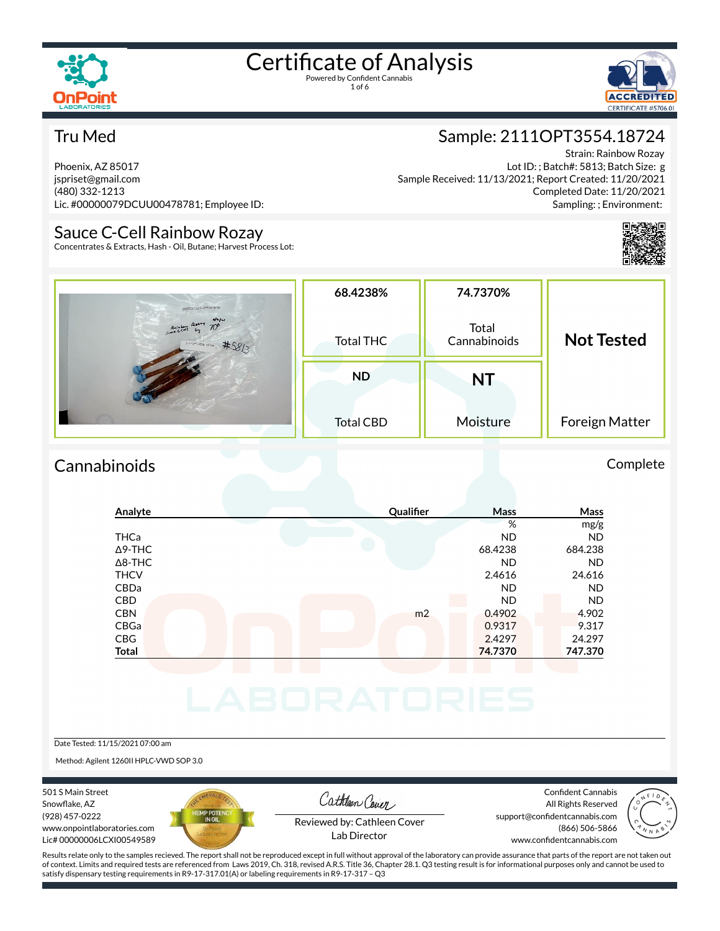

1 of 6



#### Tru Med

Phoenix, AZ 85017 jspriset@gmail.com (480) 332-1213 Lic. #00000079DCUU00478781; Employee ID:

#### Sauce C-Cell Rainbow Rozay

Concentrates & Extracts, Hash - Oil, Butane; Harvest Process Lot:

### Sample: 2111OPT3554.18724

Strain: Rainbow Rozay Lot ID: ; Batch#: 5813; Batch Size: g Sample Received: 11/13/2021; Report Created: 11/20/2021 Completed Date: 11/20/2021 Sampling: ; Environment:



| 000000790CUU00478781                                       | 68.4238%         | 74.7370%              |                   |
|------------------------------------------------------------|------------------|-----------------------|-------------------|
| $N^a$ / $\sim$<br>Sanction Roomy<br>21110PT356 18724 #58/3 | <b>Total THC</b> | Total<br>Cannabinoids | <b>Not Tested</b> |
|                                                            | <b>ND</b>        | NT                    |                   |
|                                                            | <b>Total CBD</b> | Moisture              | Foreign Matter    |

#### Cannabinoids Complete

#### **Analyte Qualier Mass Mass** % mg/g THCa ND ND Δ9-THC 68.4238 684.238 Δ8-THC ND ND THCV 24.616 22.4616 CBDa ND ND CBD A RESIDENCE OF A RESIDENCE OF A RESIDENCE OF A RESIDENCE OF A RESIDENCE OF A RESIDENCE OF A RESIDENCE OF A CBN m2 0.4902 4.902 CBGa 0.9317 9.317 CBG 2.4297 24.297

**Total 74.7370 747.370**

Date Tested: 11/15/2021 07:00 am

Method: Agilent 1260II HPLC-VWD SOP 3.0

501 S Main Street Snowflake, AZ (928) 457-0222 www.onpointlaboratories.com Lic# 00000006LCXI00549589



Cathleen Cover

Confident Cannabis All Rights Reserved support@confidentcannabis.com (866) 506-5866



Reviewed by: Cathleen Cover Lab Director

www.confidentcannabis.com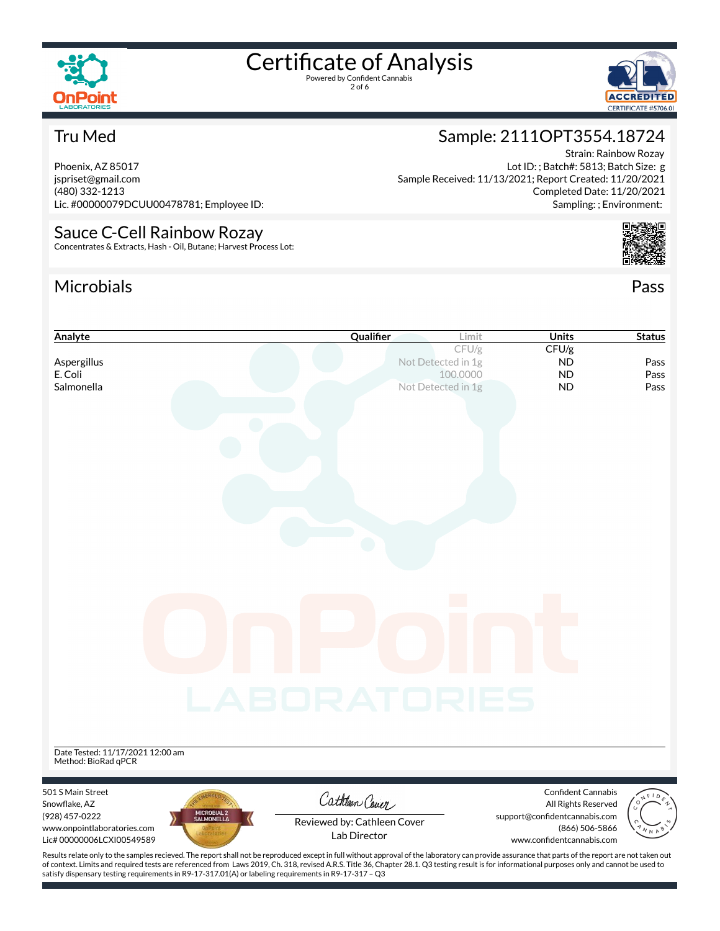

2 of 6



Strain: Rainbow Rozay

Lot ID: ; Batch#: 5813; Batch Size: g

Completed Date: 11/20/2021 Sampling: ; Environment:

Sample: 2111OPT3554.18724

Sample Received: 11/13/2021; Report Created: 11/20/2021

#### Tru Med

Phoenix, AZ 85017 jspriset@gmail.com (480) 332-1213 Lic. #00000079DCUU00478781; Employee ID:

#### Sauce C-Cell Rainbow Rozay Concentrates & Extracts, Hash - Oil, Butane; Harvest Process Lot:

satisfy dispensary testing requirements in R9-17-317.01(A) or labeling requirements in R9-17-317 – Q3

### Microbials Pass



| Analyte                                                                                                                                                                                            | Qualifier                   | Limit              | Units                                           | <b>Status</b> |
|----------------------------------------------------------------------------------------------------------------------------------------------------------------------------------------------------|-----------------------------|--------------------|-------------------------------------------------|---------------|
|                                                                                                                                                                                                    |                             | CFU/g              | CFU/g                                           |               |
| Aspergillus                                                                                                                                                                                        |                             | Not Detected in 1g | ND                                              | Pass          |
| E. Coli<br>Salmonella                                                                                                                                                                              |                             | 100,0000           | <b>ND</b>                                       | Pass          |
|                                                                                                                                                                                                    |                             | Not Detected in 1g | <b>ND</b>                                       | Pass          |
|                                                                                                                                                                                                    |                             |                    |                                                 |               |
|                                                                                                                                                                                                    |                             |                    |                                                 |               |
|                                                                                                                                                                                                    |                             |                    |                                                 |               |
|                                                                                                                                                                                                    |                             |                    |                                                 |               |
|                                                                                                                                                                                                    |                             |                    |                                                 |               |
|                                                                                                                                                                                                    |                             |                    |                                                 |               |
|                                                                                                                                                                                                    |                             |                    |                                                 |               |
|                                                                                                                                                                                                    |                             |                    |                                                 |               |
|                                                                                                                                                                                                    |                             |                    |                                                 |               |
|                                                                                                                                                                                                    |                             |                    |                                                 |               |
|                                                                                                                                                                                                    |                             |                    |                                                 |               |
|                                                                                                                                                                                                    |                             |                    |                                                 |               |
|                                                                                                                                                                                                    |                             |                    |                                                 |               |
|                                                                                                                                                                                                    |                             |                    |                                                 |               |
|                                                                                                                                                                                                    |                             |                    |                                                 |               |
|                                                                                                                                                                                                    |                             |                    |                                                 |               |
|                                                                                                                                                                                                    |                             |                    |                                                 |               |
|                                                                                                                                                                                                    | LABORATORIES                |                    |                                                 |               |
|                                                                                                                                                                                                    |                             |                    |                                                 |               |
|                                                                                                                                                                                                    |                             |                    |                                                 |               |
| Date Tested: 11/17/2021 12:00 am<br>Method: BioRad qPCR                                                                                                                                            |                             |                    |                                                 |               |
|                                                                                                                                                                                                    |                             |                    |                                                 |               |
| 501 S Main Street                                                                                                                                                                                  | Cathleen Cover              |                    | <b>Confident Cannabis</b>                       |               |
| Snowflake, AZ<br>MICROBIAL 2<br>SALMONELLA                                                                                                                                                         |                             |                    | All Rights Reserved                             |               |
| (928) 457-0222<br>www.onpointlaboratories.com                                                                                                                                                      | Reviewed by: Cathleen Cover |                    | support@confidentcannabis.com<br>(866) 506-5866 |               |
| Lic# 00000006LCXI00549589                                                                                                                                                                          | Lab Director                |                    | www.confidentcannabis.com                       |               |
| Results relate only to the samples recieved. The report shall not be reproduced except in full without approval of the laboratory can provide assurance that parts of the report are not taken out |                             |                    |                                                 |               |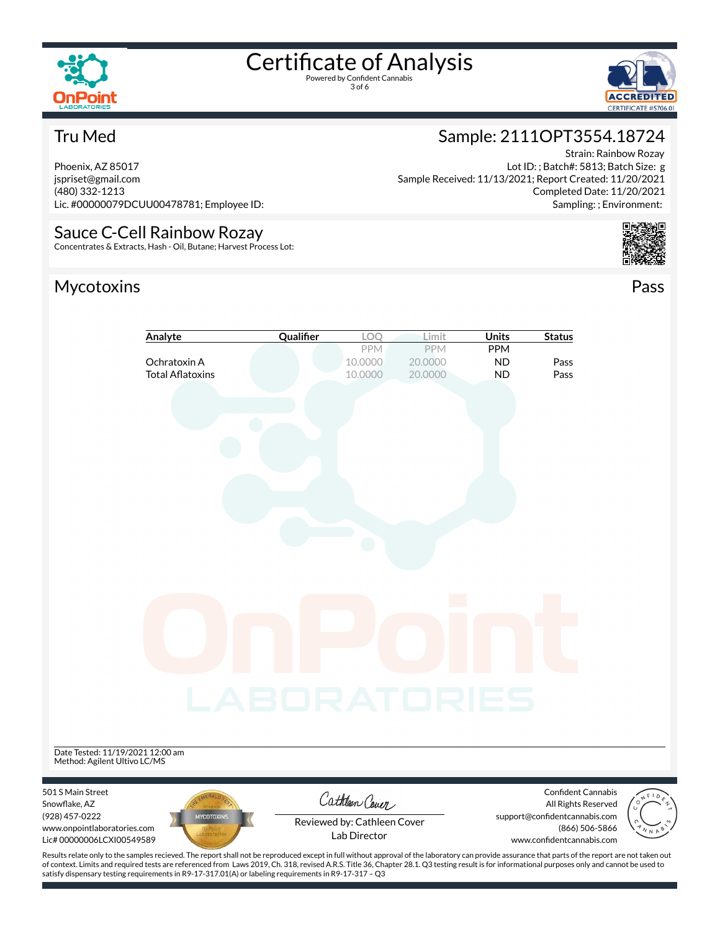



Strain: Rainbow Rozay

Lot ID: ; Batch#: 5813; Batch Size: g

Completed Date: 11/20/2021 Sampling: ; Environment:

Sample: 2111OPT3554.18724

Sample Received: 11/13/2021; Report Created: 11/20/2021

#### Tru Med

Phoenix, AZ 85017 jspriset@gmail.com (480) 332-1213 Lic. #00000079DCUU00478781; Employee ID:

### Sauce C-Cell Rainbow Rozay

Concentrates & Extracts, Hash - Oil, Butane; Harvest Process Lot:

### Mycotoxins Pass



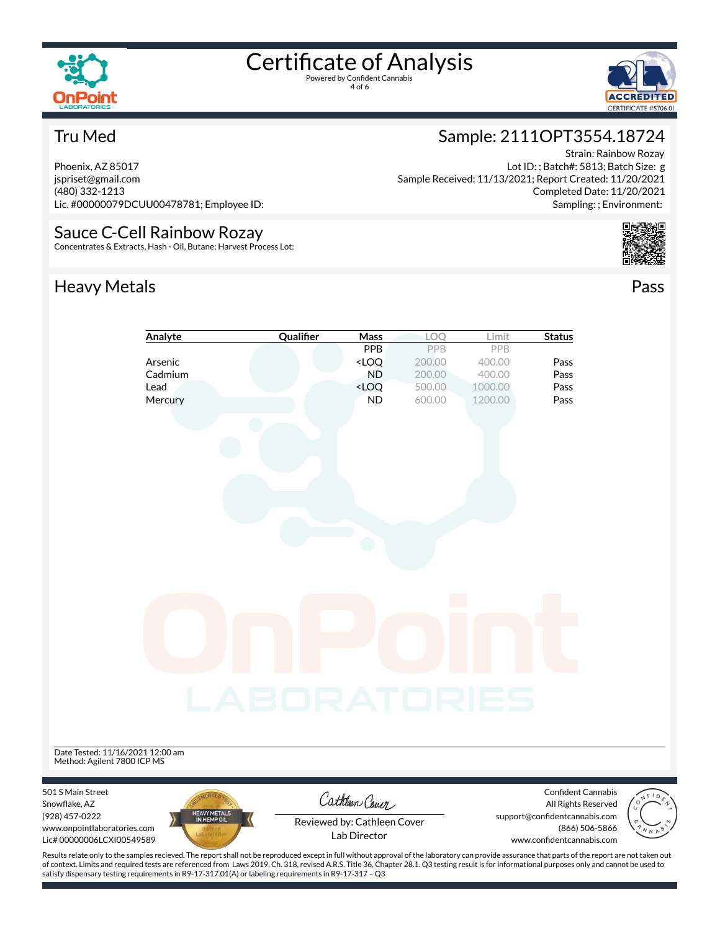

4 of 6



#### Tru Med

Phoenix, AZ 85017 jspriset@gmail.com (480) 332-1213 Lic. #00000079DCUU00478781; Employee ID:

#### Sauce C-Cell Rainbow Rozay

Concentrates & Extracts, Hash - Oil, Butane; Harvest Process Lot:

### Heavy Metals **Pass**

#### Strain: Rainbow Rozay Lot ID: ; Batch#: 5813; Batch Size: g

Sample Received: 11/13/2021; Report Created: 11/20/2021 Completed Date: 11/20/2021 Sampling: ; Environment:

Sample: 2111OPT3554.18724



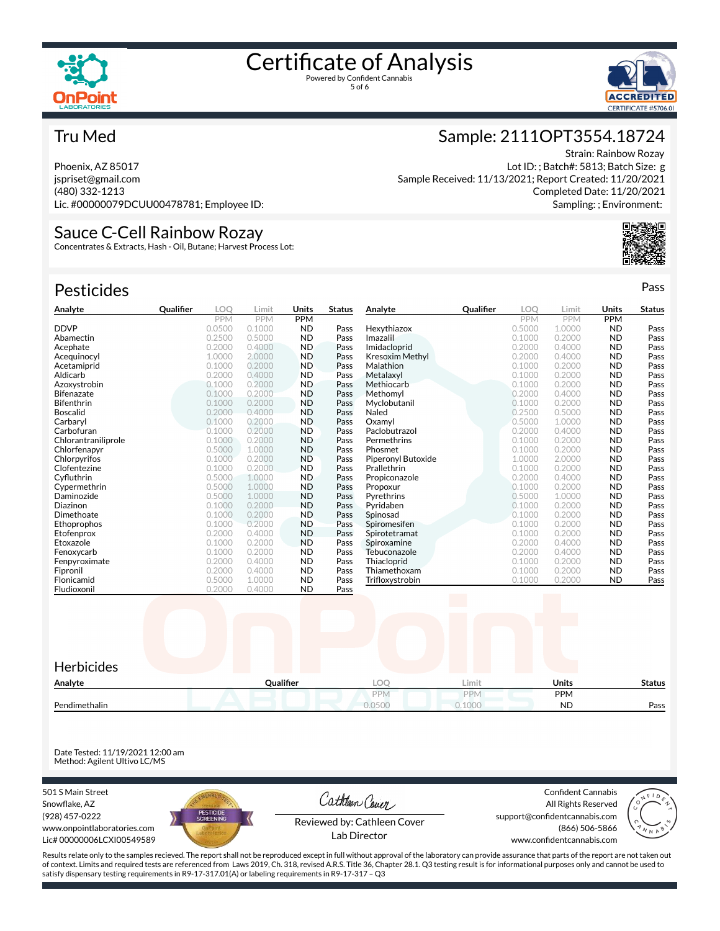



Strain: Rainbow Rozay

Lot ID: ; Batch#: 5813; Batch Size: g

Completed Date: 11/20/2021 Sampling: ; Environment:

Sample: 2111OPT3554.18724

Sample Received: 11/13/2021; Report Created: 11/20/2021

#### Tru Med

Phoenix, AZ 85017 jspriset@gmail.com (480) 332-1213 Lic. #00000079DCUU00478781; Employee ID:

#### Sauce C-Cell Rainbow Rozay

Concentrates & Extracts, Hash - Oil, Butane; Harvest Process Lot:

| <b>Pesticides</b>   |           |            |            |            |               |                        |           |            |            |            | Pass          |
|---------------------|-----------|------------|------------|------------|---------------|------------------------|-----------|------------|------------|------------|---------------|
| Analyte             | Qualifier | LOO        | Limit      | Units      | <b>Status</b> | Analyte                | Qualifier | LOO        | Limit      | Units      | <b>Status</b> |
|                     |           | <b>PPM</b> | <b>PPM</b> | <b>PPM</b> |               |                        |           | <b>PPM</b> | <b>PPM</b> | <b>PPM</b> |               |
| <b>DDVP</b>         |           | 0.0500     | 0.1000     | <b>ND</b>  | Pass          | Hexythiazox            |           | 0.5000     | 1.0000     | <b>ND</b>  | Pass          |
| Abamectin           |           | 0.2500     | 0.5000     | <b>ND</b>  | Pass          | Imazalil               |           | 0.1000     | 0.2000     | <b>ND</b>  | Pass          |
| Acephate            |           | 0.2000     | 0.4000     | <b>ND</b>  | Pass          | Imidacloprid           |           | 0.2000     | 0.4000     | <b>ND</b>  | Pass          |
| Acequinocyl         |           | 1.0000     | 2.0000     | <b>ND</b>  | Pass          | <b>Kresoxim Methyl</b> |           | 0.2000     | 0.4000     | <b>ND</b>  | Pass          |
| Acetamiprid         |           | 0.1000     | 0.2000     | <b>ND</b>  | Pass          | Malathion              |           | 0.1000     | 0.2000     | <b>ND</b>  | Pass          |
| Aldicarb            |           | 0.2000     | 0.4000     | <b>ND</b>  | Pass          | Metalaxyl              |           | 0.1000     | 0.2000     | <b>ND</b>  | Pass          |
| Azoxystrobin        |           | 0.1000     | 0.2000     | <b>ND</b>  | Pass          | Methiocarb             |           | 0.1000     | 0.2000     | <b>ND</b>  | Pass          |
| <b>Bifenazate</b>   |           | 0.1000     | 0.2000     | <b>ND</b>  | Pass          | Methomyl               |           | 0.2000     | 0.4000     | <b>ND</b>  | Pass          |
| <b>Bifenthrin</b>   |           | 0.1000     | 0.2000     | <b>ND</b>  | Pass          | Myclobutanil           |           | 0.1000     | 0.2000     | <b>ND</b>  | Pass          |
| <b>Boscalid</b>     |           | 0.2000     | 0.4000     | <b>ND</b>  | Pass          | Naled                  |           | 0.2500     | 0.5000     | <b>ND</b>  | Pass          |
| Carbarvl            |           | 0.1000     | 0.2000     | <b>ND</b>  | Pass          | Oxamvl                 |           | 0.5000     | 1.0000     | <b>ND</b>  | Pass          |
| Carbofuran          |           | 0.1000     | 0.2000     | <b>ND</b>  | Pass          | Paclobutrazol          |           | 0.2000     | 0.4000     | <b>ND</b>  | Pass          |
| Chlorantraniliprole |           | 0.1000     | 0.2000     | <b>ND</b>  | Pass          | Permethrins            |           | 0.1000     | 0.2000     | <b>ND</b>  | Pass          |
| Chlorfenapyr        |           | 0.5000     | 1.0000     | <b>ND</b>  | Pass          | Phosmet                |           | 0.1000     | 0.2000     | <b>ND</b>  | Pass          |
| Chlorpyrifos        |           | 0.1000     | 0.2000     | <b>ND</b>  | Pass          | Piperonyl Butoxide     |           | 1.0000     | 2.0000     | <b>ND</b>  | Pass          |
| Clofentezine        |           | 0.1000     | 0.2000     | <b>ND</b>  | Pass          | Prallethrin            |           | 0.1000     | 0.2000     | <b>ND</b>  | Pass          |
| Cyfluthrin          |           | 0.5000     | 1.0000     | <b>ND</b>  | Pass          | Propiconazole          |           | 0.2000     | 0.4000     | <b>ND</b>  | Pass          |
| Cypermethrin        |           | 0.5000     | 1.0000     | <b>ND</b>  | Pass          | Propoxur               |           | 0.1000     | 0.2000     | <b>ND</b>  | Pass          |
| Daminozide          |           | 0.5000     | 1.0000     | <b>ND</b>  | Pass          | Pyrethrins             |           | 0.5000     | 1.0000     | <b>ND</b>  | Pass          |
| Diazinon            |           | 0.1000     | 0.2000     | <b>ND</b>  | Pass          | Pyridaben              |           | 0.1000     | 0.2000     | <b>ND</b>  | Pass          |
| Dimethoate          |           | 0.1000     | 0.2000     | <b>ND</b>  | Pass          | Spinosad               |           | 0.1000     | 0.2000     | <b>ND</b>  | Pass          |
| Ethoprophos         |           | 0.1000     | 0.2000     | <b>ND</b>  | Pass          | Spiromesifen           |           | 0.1000     | 0.2000     | <b>ND</b>  | Pass          |
| Etofenprox          |           | 0.2000     | 0.4000     | <b>ND</b>  | Pass          | Spirotetramat          |           | 0.1000     | 0.2000     | <b>ND</b>  | Pass          |
| Etoxazole           |           | 0.1000     | 0.2000     | <b>ND</b>  | Pass          | Spiroxamine            |           | 0.2000     | 0.4000     | <b>ND</b>  | Pass          |
| Fenoxycarb          |           | 0.1000     | 0.2000     | <b>ND</b>  | Pass          | Tebuconazole           |           | 0.2000     | 0.4000     | <b>ND</b>  | Pass          |
| Fenpyroximate       |           | 0.2000     | 0.4000     | <b>ND</b>  | Pass          | Thiacloprid            |           | 0.1000     | 0.2000     | <b>ND</b>  | Pass          |
| Fipronil            |           | 0.2000     | 0.4000     | <b>ND</b>  | Pass          | Thiamethoxam           |           | 0.1000     | 0.2000     | <b>ND</b>  | Pass          |
| Flonicamid          |           | 0.5000     | 1.0000     | <b>ND</b>  | Pass          | Trifloxystrobin        |           | 0.1000     | 0.2000     | <b>ND</b>  | Pass          |
| Fludioxonil         |           | 0.2000     | 0.4000     | <b>ND</b>  | Pass          |                        |           |            |            |            |               |



Date Tested: 11/19/2021 12:00 am Method: Agilent Ultivo LC/MS

501 S Main Street Snowflake, AZ (928) 457-0222 www.onpointlaboratories.com Lic# 00000006LCXI00549589



Cathleen Cover

Confident Cannabis All Rights Reserved support@confidentcannabis.com (866) 506-5866



Reviewed by: Cathleen Cover Lab Director

www.confidentcannabis.com